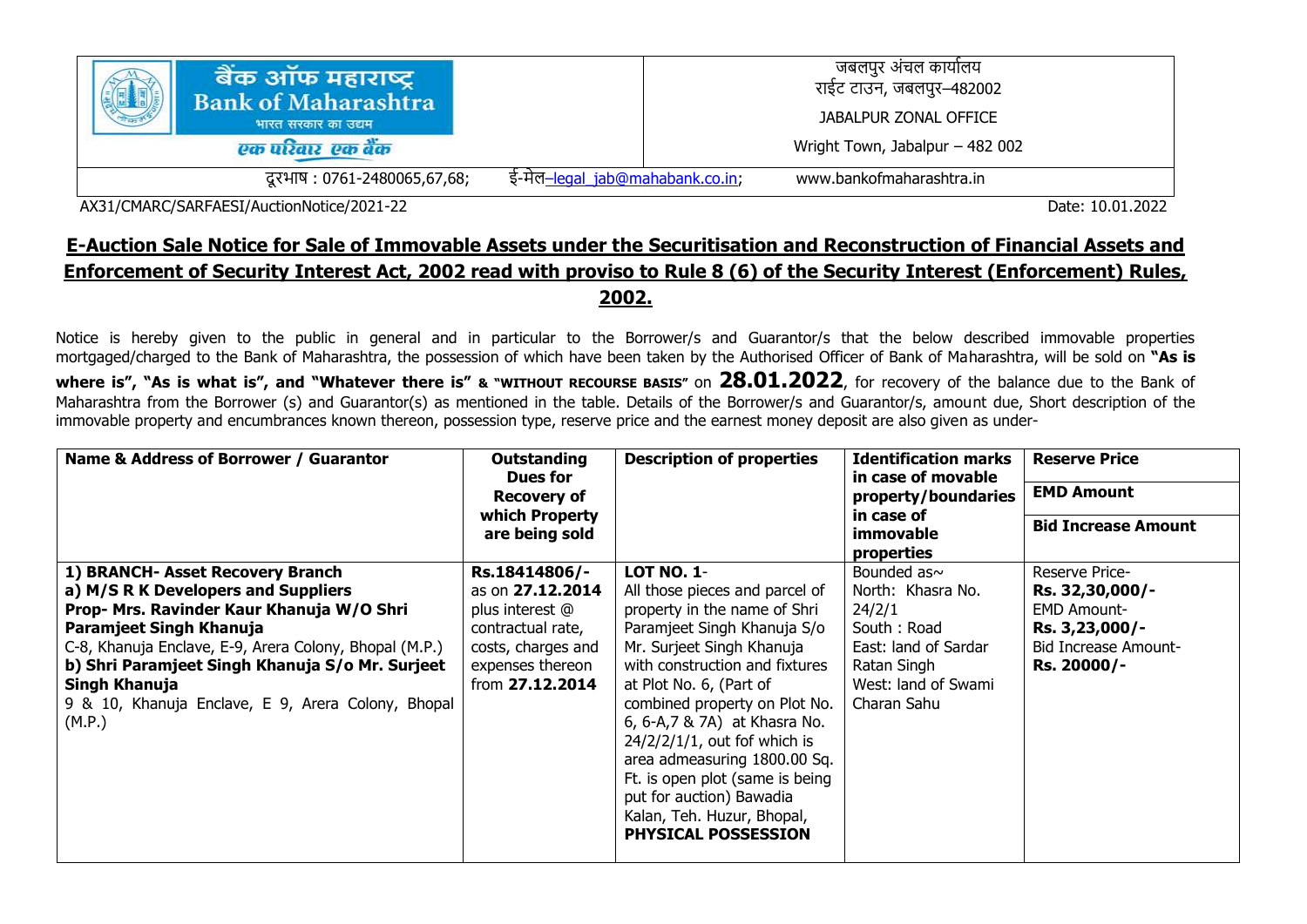| बैक ऑफ महाराष्ट्र<br><b>Bank of Maharashtra</b><br>भारत सरकार का उद्यम<br>एक परिवार एक बैंक |                                 | जबलपुर अंचल कार्यालय<br>राईट टाउन, जबलपुर–482002<br>JABALPUR ZONAL OFFICE<br>Wright Town, Jabalpur - 482 002 |
|---------------------------------------------------------------------------------------------|---------------------------------|--------------------------------------------------------------------------------------------------------------|
| दूरभाष : 0761-2480065,67,68;                                                                | ई-मेल–legal jab@mahabank.co.in; | www.bankofmaharashtra.in                                                                                     |

AX31/CMARC/SARFAESI/AuctionNotice/2021-22 Date: 10.01.2022

## **E-Auction Sale Notice for Sale of Immovable Assets under the Securitisation and Reconstruction of Financial Assets and Enforcement of Security Interest Act, 2002 read with proviso to Rule 8 (6) of the Security Interest (Enforcement) Rules, 2002.**

Notice is hereby given to the public in general and in particular to the Borrower/s and Guarantor/s that the below described immovable properties mortgaged/charged to the Bank of Maharashtra, the possession of which have been taken by the Authorised Officer of Bank of Maharashtra, will be sold on **"As is where is", "As is what is", and "Whatever there is" & "WITHOUT RECOURSE BASIS"** on **28.01.2022**, for recovery of the balance due to the Bank of Maharashtra from the Borrower (s) and Guarantor(s) as mentioned in the table. Details of the Borrower/s and Guarantor/s, amount due, Short description of the immovable property and encumbrances known thereon, possession type, reserve price and the earnest money deposit are also given as under-

| Name & Address of Borrower / Guarantor                                                                                                                                                                                                                                                                                                        | Outstanding<br>Dues for<br><b>Recovery of</b><br>which Property<br>are being sold                                                      | <b>Description of properties</b>                                                                                                                                                                                                                                                                                                                                                                                                                                      | <b>Identification marks</b><br>in case of movable<br>property/boundaries<br>in case of<br>immovable<br>properties                            | <b>Reserve Price</b><br><b>EMD Amount</b><br><b>Bid Increase Amount</b>                                                 |
|-----------------------------------------------------------------------------------------------------------------------------------------------------------------------------------------------------------------------------------------------------------------------------------------------------------------------------------------------|----------------------------------------------------------------------------------------------------------------------------------------|-----------------------------------------------------------------------------------------------------------------------------------------------------------------------------------------------------------------------------------------------------------------------------------------------------------------------------------------------------------------------------------------------------------------------------------------------------------------------|----------------------------------------------------------------------------------------------------------------------------------------------|-------------------------------------------------------------------------------------------------------------------------|
| 1) BRANCH- Asset Recovery Branch<br>a) M/S R K Developers and Suppliers<br>Prop- Mrs. Ravinder Kaur Khanuja W/O Shri<br>Paramjeet Singh Khanuja<br>C-8, Khanuja Enclave, E-9, Arera Colony, Bhopal (M.P.)<br>b) Shri Paramjeet Singh Khanuja S/o Mr. Surjeet<br>Singh Khanuja<br>9 & 10, Khanuja Enclave, E 9, Arera Colony, Bhopal<br>(M.P.) | Rs.18414806/-<br>as on 27.12.2014<br>plus interest @<br>contractual rate,<br>costs, charges and<br>expenses thereon<br>from 27.12.2014 | <b>LOT NO. 1-</b><br>All those pieces and parcel of<br>property in the name of Shri<br>Paramjeet Singh Khanuja S/o<br>Mr. Surjeet Singh Khanuja<br>with construction and fixtures<br>at Plot No. 6, (Part of<br>combined property on Plot No.<br>6, 6-A, 7 & 7A) at Khasra No.<br>$24/2/2/1/1$ , out fof which is<br>area admeasuring 1800.00 Sq.<br>Ft. is open plot (same is being<br>put for auction) Bawadia<br>Kalan, Teh. Huzur, Bhopal,<br>PHYSICAL POSSESSION | Bounded as $\sim$<br>North: Khasra No.<br>24/2/1<br>South: Road<br>East: land of Sardar<br>Ratan Singh<br>West: land of Swami<br>Charan Sahu | Reserve Price-<br>Rs. 32,30,000/-<br><b>EMD Amount-</b><br>Rs. 3,23,000/-<br><b>Bid Increase Amount-</b><br>Rs. 20000/- |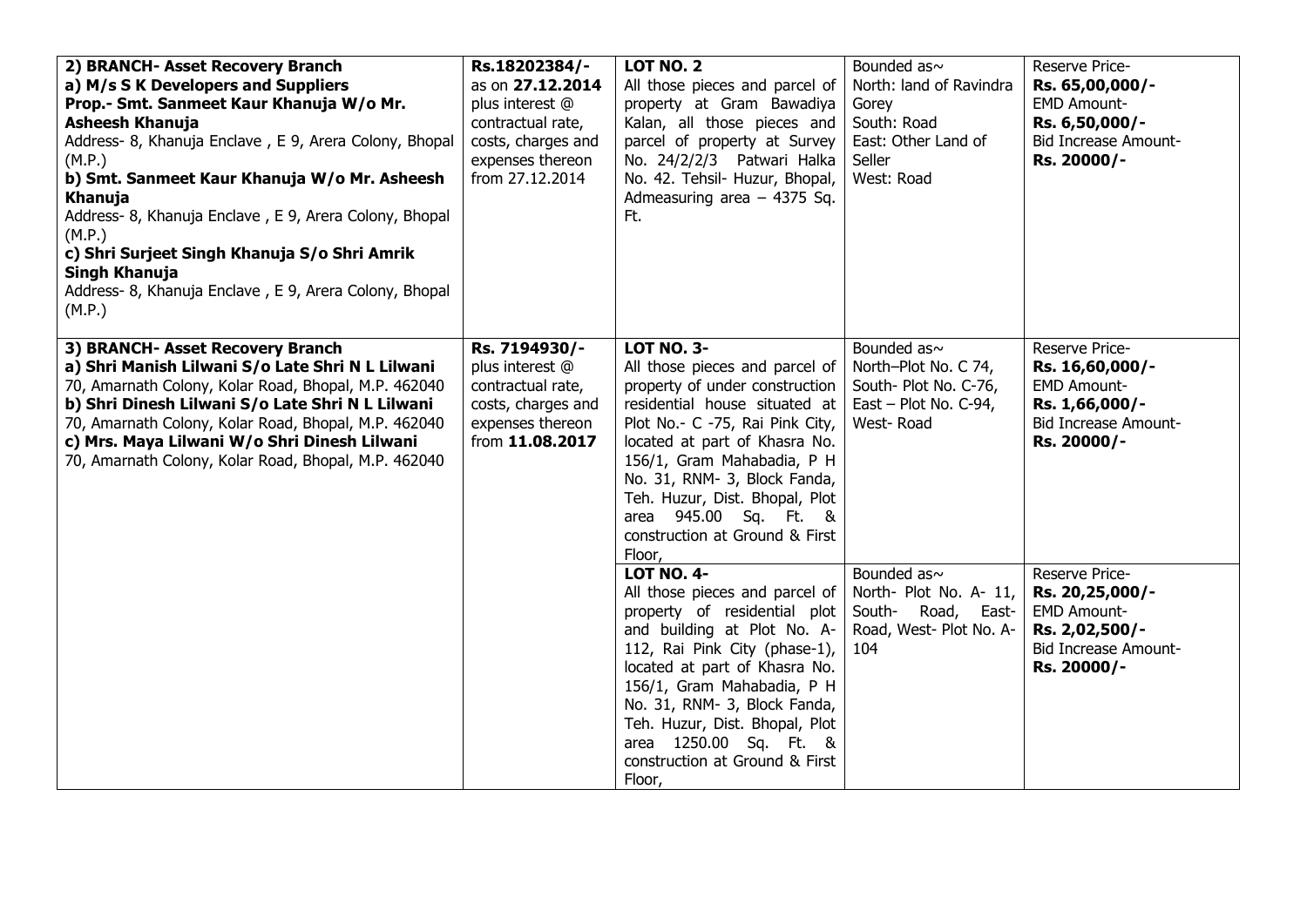| 2) BRANCH- Asset Recovery Branch<br>a) M/s S K Developers and Suppliers<br>Prop.- Smt. Sanmeet Kaur Khanuja W/o Mr.<br><b>Asheesh Khanuja</b><br>Address- 8, Khanuja Enclave, E 9, Arera Colony, Bhopal<br>(M.P.)<br>b) Smt. Sanmeet Kaur Khanuja W/o Mr. Asheesh<br>Khanuja<br>Address- 8, Khanuja Enclave, E 9, Arera Colony, Bhopal<br>(M.P.)                 | Rs.18202384/-<br>as on 27.12.2014<br>plus interest @<br>contractual rate,<br>costs, charges and<br>expenses thereon<br>from 27.12.2014 | <b>LOT NO. 2</b><br>All those pieces and parcel of<br>property at Gram Bawadiya<br>Kalan, all those pieces and<br>parcel of property at Survey<br>No. 24/2/2/3 Patwari Halka<br>No. 42. Tehsil- Huzur, Bhopal,<br>Admeasuring area $-4375$ Sq.<br>Ft.                                                                                                           | Bounded as~<br>North: land of Ravindra<br>Gorey<br>South: Road<br>East: Other Land of<br>Seller<br>West: Road | Reserve Price-<br>Rs. 65,00,000/-<br><b>EMD Amount-</b><br>Rs. 6,50,000/-<br><b>Bid Increase Amount-</b><br>Rs. 20000/-   |
|------------------------------------------------------------------------------------------------------------------------------------------------------------------------------------------------------------------------------------------------------------------------------------------------------------------------------------------------------------------|----------------------------------------------------------------------------------------------------------------------------------------|-----------------------------------------------------------------------------------------------------------------------------------------------------------------------------------------------------------------------------------------------------------------------------------------------------------------------------------------------------------------|---------------------------------------------------------------------------------------------------------------|---------------------------------------------------------------------------------------------------------------------------|
| c) Shri Surjeet Singh Khanuja S/o Shri Amrik<br>Singh Khanuja<br>Address- 8, Khanuja Enclave, E 9, Arera Colony, Bhopal<br>(M.P.)                                                                                                                                                                                                                                |                                                                                                                                        |                                                                                                                                                                                                                                                                                                                                                                 |                                                                                                               |                                                                                                                           |
| 3) BRANCH- Asset Recovery Branch<br>a) Shri Manish Lilwani S/o Late Shri N L Lilwani<br>70, Amarnath Colony, Kolar Road, Bhopal, M.P. 462040<br>b) Shri Dinesh Lilwani S/o Late Shri N L Lilwani<br>70, Amarnath Colony, Kolar Road, Bhopal, M.P. 462040<br>c) Mrs. Maya Lilwani W/o Shri Dinesh Lilwani<br>70, Amarnath Colony, Kolar Road, Bhopal, M.P. 462040 | Rs. 7194930/-<br>plus interest @<br>contractual rate,<br>costs, charges and<br>expenses thereon<br>from 11.08.2017                     | <b>LOT NO. 3-</b><br>All those pieces and parcel of<br>property of under construction<br>residential house situated at<br>Plot No.- C -75, Rai Pink City,<br>located at part of Khasra No.<br>156/1, Gram Mahabadia, P H<br>No. 31, RNM- 3, Block Fanda,<br>Teh. Huzur, Dist. Bhopal, Plot<br>area 945.00 Sq. Ft. &<br>construction at Ground & First<br>Floor, | Bounded as~<br>North-Plot No. C 74,<br>South- Plot No. C-76,<br>East – Plot No. C-94,<br>West-Road            | Reserve Price-<br>Rs. 16,60,000/-<br><b>EMD Amount-</b><br>Rs. 1,66,000/-<br><b>Bid Increase Amount-</b><br>Rs. 20000/-   |
|                                                                                                                                                                                                                                                                                                                                                                  |                                                                                                                                        | <b>LOT NO. 4-</b><br>All those pieces and parcel of<br>property of residential plot<br>and building at Plot No. A-<br>112, Rai Pink City (phase-1),<br>located at part of Khasra No.<br>156/1, Gram Mahabadia, P H<br>No. 31, RNM- 3, Block Fanda,<br>Teh. Huzur, Dist. Bhopal, Plot<br>area 1250.00 Sq. Ft. &<br>construction at Ground & First<br>Floor,      | Bounded as~<br>North- Plot No. A- 11,<br>South-<br>Road,<br>East-<br>Road, West- Plot No. A-<br>104           | Reserve Price-<br>Rs. 20, 25, 000/-<br><b>EMD Amount-</b><br>Rs. 2,02,500/-<br><b>Bid Increase Amount-</b><br>Rs. 20000/- |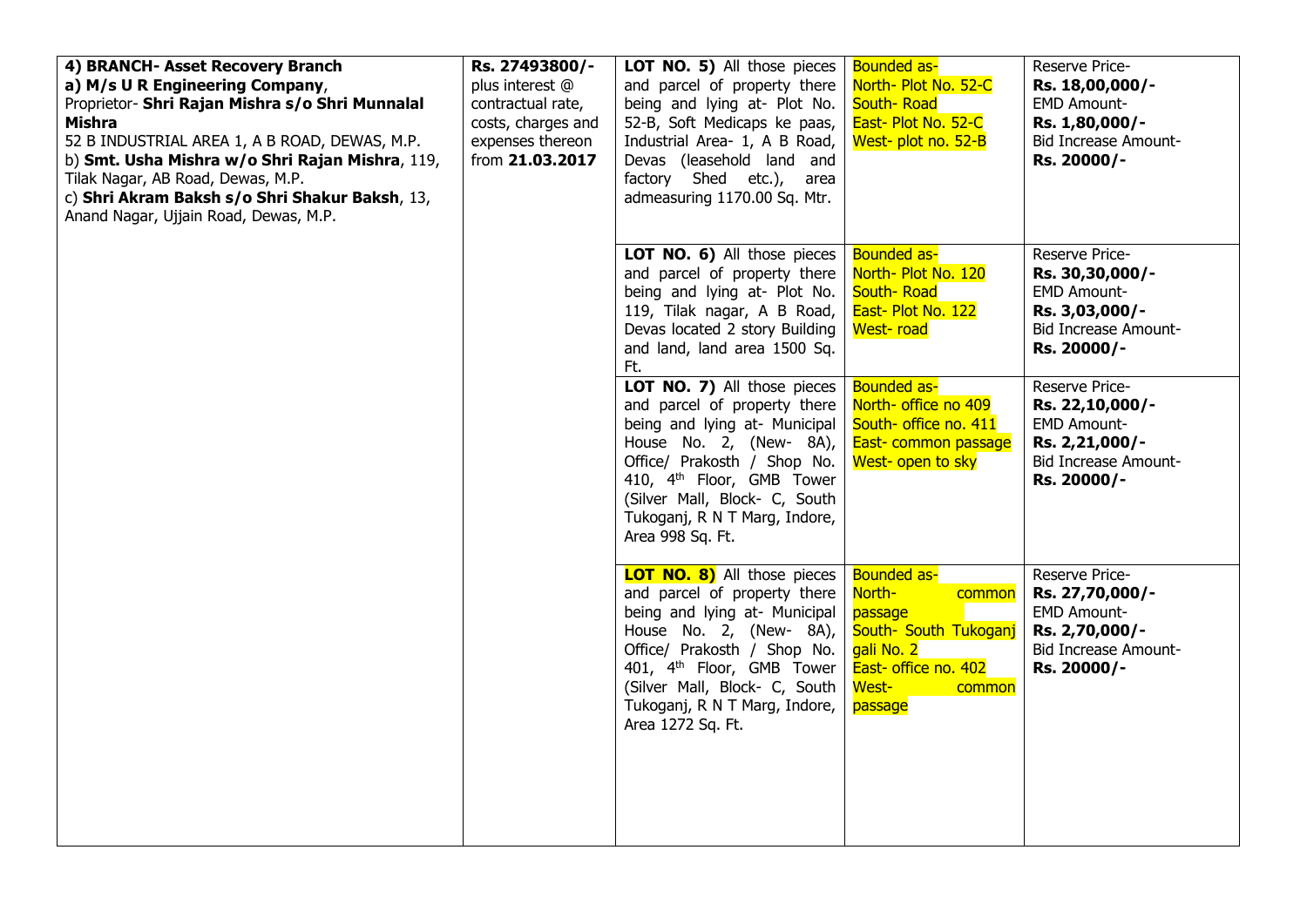| 4) BRANCH- Asset Recovery Branch<br>a) M/s U R Engineering Company,<br>Proprietor- Shri Rajan Mishra s/o Shri Munnalal<br><b>Mishra</b><br>52 B INDUSTRIAL AREA 1, A B ROAD, DEWAS, M.P.<br>b) Smt. Usha Mishra w/o Shri Rajan Mishra, 119,<br>Tilak Nagar, AB Road, Dewas, M.P.<br>c) Shri Akram Baksh s/o Shri Shakur Baksh, 13,<br>Anand Nagar, Ujjain Road, Dewas, M.P. | Rs. 27493800/-<br>plus interest @<br>contractual rate,<br>costs, charges and<br>expenses thereon<br>from 21.03.2017 | LOT NO. 5) All those pieces<br>and parcel of property there<br>being and lying at- Plot No.<br>52-B, Soft Medicaps ke paas,<br>Industrial Area- 1, A B Road,<br>Devas (leasehold land and<br>factory Shed etc.), area<br>admeasuring 1170.00 Sq. Mtr.                                         | <b>Bounded as-</b><br>North- Plot No. 52-C<br>South-Road<br>East- Plot No. 52-C<br>West- plot no. 52-B                                         | Reserve Price-<br>Rs. 18,00,000/-<br><b>EMD Amount-</b><br>Rs. 1,80,000/-<br><b>Bid Increase Amount-</b><br>Rs. 20000/- |
|-----------------------------------------------------------------------------------------------------------------------------------------------------------------------------------------------------------------------------------------------------------------------------------------------------------------------------------------------------------------------------|---------------------------------------------------------------------------------------------------------------------|-----------------------------------------------------------------------------------------------------------------------------------------------------------------------------------------------------------------------------------------------------------------------------------------------|------------------------------------------------------------------------------------------------------------------------------------------------|-------------------------------------------------------------------------------------------------------------------------|
|                                                                                                                                                                                                                                                                                                                                                                             |                                                                                                                     | LOT NO. 6) All those pieces<br>and parcel of property there<br>being and lying at- Plot No.<br>119, Tilak nagar, A B Road,<br>Devas located 2 story Building<br>and land, land area 1500 Sq.<br>Ft.                                                                                           | Bounded as-<br>North- Plot No. 120<br>South-Road<br>East- Plot No. 122<br>West-road                                                            | Reserve Price-<br>Rs. 30,30,000/-<br><b>EMD Amount-</b><br>Rs. 3,03,000/-<br>Bid Increase Amount-<br>Rs. 20000/-        |
|                                                                                                                                                                                                                                                                                                                                                                             |                                                                                                                     | LOT NO. 7) All those pieces<br>and parcel of property there<br>being and lying at- Municipal<br>House No. 2, (New- 8A),<br>Office/ Prakosth / Shop No.<br>410, 4 <sup>th</sup> Floor, GMB Tower<br>(Silver Mall, Block- C, South<br>Tukoganj, R N T Marg, Indore,<br>Area 998 Sq. Ft.         | <b>Bounded as-</b><br>North- office no 409<br>South- office no. 411<br>East- common passage<br>West- open to sky                               | Reserve Price-<br>Rs. 22,10,000/-<br><b>EMD Amount-</b><br>Rs. 2,21,000/-<br><b>Bid Increase Amount-</b><br>Rs. 20000/- |
|                                                                                                                                                                                                                                                                                                                                                                             |                                                                                                                     | <b>LOT NO. 8)</b> All those pieces<br>and parcel of property there<br>being and lying at- Municipal<br>House No. 2, (New- 8A),<br>Office/ Prakosth / Shop No.<br>401, 4 <sup>th</sup> Floor, GMB Tower<br>(Silver Mall, Block- C, South<br>Tukoganj, R N T Marg, Indore,<br>Area 1272 Sq. Ft. | <b>Bounded as-</b><br>North-<br>common<br>passage<br>South- South Tukoganj<br>gali No. 2<br>East- office no. 402<br>West-<br>common<br>passage | Reserve Price-<br>Rs. 27,70,000/-<br><b>EMD Amount-</b><br>Rs. 2,70,000/-<br><b>Bid Increase Amount-</b><br>Rs. 20000/- |
|                                                                                                                                                                                                                                                                                                                                                                             |                                                                                                                     |                                                                                                                                                                                                                                                                                               |                                                                                                                                                |                                                                                                                         |